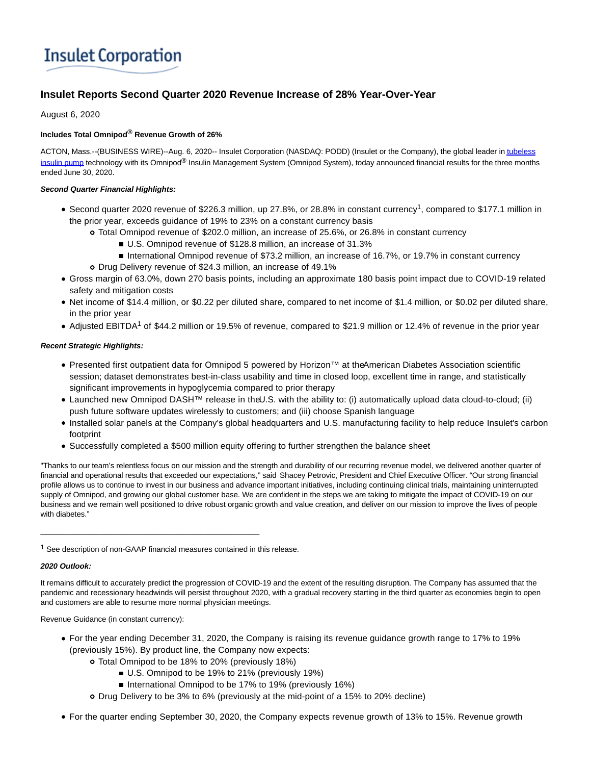# **Insulet Corporation**

# **Insulet Reports Second Quarter 2020 Revenue Increase of 28% Year-Over-Year**

# August 6, 2020

# **Includes Total Omnipod® Revenue Growth of 26%**

ACTON, Mass.--(BUSINESS WIRE)--Aug. 6, 2020-- Insulet Corporation (NASDAQ: PODD) (Insulet or the Company), the global leader i[n tubeless](https://cts.businesswire.com/ct/CT?id=smartlink&url=http%3A%2F%2Fwww.myomnipod.com%2Fexplore-omnipod%2Fomnipod-system&esheet=52261773&newsitemid=20200806005820&lan=en-US&anchor=tubeless+insulin+pump&index=1&md5=94e33d9f29198830bbba66cbd733b217) insulin pump technology with its Omnipod<sup>®</sup> Insulin Management System (Omnipod System), today announced financial results for the three months ended June 30, 2020.

# **Second Quarter Financial Highlights:**

- Second quarter 2020 revenue of \$226.3 million, up 27.8%, or 28.8% in constant currency<sup>1</sup>, compared to \$177.1 million in the prior year, exceeds guidance of 19% to 23% on a constant currency basis
	- Total Omnipod revenue of \$202.0 million, an increase of 25.6%, or 26.8% in constant currency
		- U.S. Omnipod revenue of \$128.8 million, an increase of 31.3%
		- International Omnipod revenue of \$73.2 million, an increase of 16.7%, or 19.7% in constant currency
	- Drug Delivery revenue of \$24.3 million, an increase of 49.1%
- Gross margin of 63.0%, down 270 basis points, including an approximate 180 basis point impact due to COVID-19 related safety and mitigation costs
- Net income of \$14.4 million, or \$0.22 per diluted share, compared to net income of \$1.4 million, or \$0.02 per diluted share, in the prior year
- Adjusted EBITDA<sup>1</sup> of \$44.2 million or 19.5% of revenue, compared to \$21.9 million or 12.4% of revenue in the prior year

# **Recent Strategic Highlights:**

- Presented first outpatient data for Omnipod 5 powered by Horizon™ at the American Diabetes Association scientific session; dataset demonstrates best-in-class usability and time in closed loop, excellent time in range, and statistically significant improvements in hypoglycemia compared to prior therapy
- Launched new Omnipod DASH™ release in the U.S. with the ability to: (i) automatically upload data cloud-to-cloud; (ii) push future software updates wirelessly to customers; and (iii) choose Spanish language
- Installed solar panels at the Company's global headquarters and U.S. manufacturing facility to help reduce Insulet's carbon footprint
- Successfully completed a \$500 million equity offering to further strengthen the balance sheet

"Thanks to our team's relentless focus on our mission and the strength and durability of our recurring revenue model, we delivered another quarter of financial and operational results that exceeded our expectations," said Shacey Petrovic, President and Chief Executive Officer. "Our strong financial profile allows us to continue to invest in our business and advance important initiatives, including continuing clinical trials, maintaining uninterrupted supply of Omnipod, and growing our global customer base. We are confident in the steps we are taking to mitigate the impact of COVID-19 on our business and we remain well positioned to drive robust organic growth and value creation, and deliver on our mission to improve the lives of people with diabetes."

<sup>1</sup> See description of non-GAAP financial measures contained in this release.

\_\_\_\_\_\_\_\_\_\_\_\_\_\_\_\_\_\_\_\_\_\_\_\_\_\_\_\_\_\_\_\_\_\_\_\_\_\_\_\_\_\_\_\_\_\_\_\_\_\_\_

# **2020 Outlook:**

It remains difficult to accurately predict the progression of COVID-19 and the extent of the resulting disruption. The Company has assumed that the pandemic and recessionary headwinds will persist throughout 2020, with a gradual recovery starting in the third quarter as economies begin to open and customers are able to resume more normal physician meetings.

Revenue Guidance (in constant currency):

- For the year ending December 31, 2020, the Company is raising its revenue guidance growth range to 17% to 19% (previously 15%). By product line, the Company now expects:
	- Total Omnipod to be 18% to 20% (previously 18%)
		- U.S. Omnipod to be 19% to 21% (previously 19%)
		- International Omnipod to be 17% to 19% (previously 16%)
	- Drug Delivery to be 3% to 6% (previously at the mid-point of a 15% to 20% decline)
- For the quarter ending September 30, 2020, the Company expects revenue growth of 13% to 15%. Revenue growth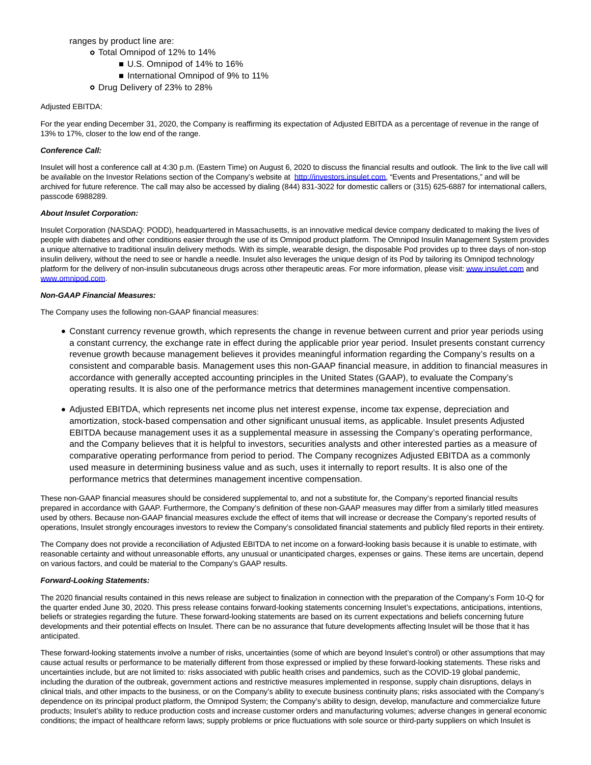ranges by product line are:

- Total Omnipod of 12% to 14%
	- U.S. Omnipod of 14% to 16%
	- International Omnipod of 9% to 11%
- o Drug Delivery of 23% to 28%

## Adjusted EBITDA:

For the year ending December 31, 2020, the Company is reaffirming its expectation of Adjusted EBITDA as a percentage of revenue in the range of 13% to 17%, closer to the low end of the range.

# **Conference Call:**

Insulet will host a conference call at 4:30 p.m. (Eastern Time) on August 6, 2020 to discuss the financial results and outlook. The link to the live call will be available on the Investor Relations section of the Company's website at [http://investors.insulet.com,](https://cts.businesswire.com/ct/CT?id=smartlink&url=http%3A%2F%2Finvestors.insulet.com&esheet=52261773&newsitemid=20200806005820&lan=en-US&anchor=http%3A%2F%2Finvestors.insulet.com&index=2&md5=325a06cb5092e7f645441d2b59300ca0) "Events and Presentations," and will be archived for future reference. The call may also be accessed by dialing (844) 831-3022 for domestic callers or (315) 625-6887 for international callers, passcode 6988289.

## **About Insulet Corporation:**

Insulet Corporation (NASDAQ: PODD), headquartered in Massachusetts, is an innovative medical device company dedicated to making the lives of people with diabetes and other conditions easier through the use of its Omnipod product platform. The Omnipod Insulin Management System provides a unique alternative to traditional insulin delivery methods. With its simple, wearable design, the disposable Pod provides up to three days of non-stop insulin delivery, without the need to see or handle a needle. Insulet also leverages the unique design of its Pod by tailoring its Omnipod technology platform for the delivery of non-insulin subcutaneous drugs across other therapeutic areas. For more information, please visit[: www.insulet.com a](https://cts.businesswire.com/ct/CT?id=smartlink&url=http%3A%2F%2Fwww.insulet.com&esheet=52261773&newsitemid=20200806005820&lan=en-US&anchor=www.insulet.com&index=3&md5=630ab04cb94a29033d29c6ba81398d5e)nd [www.omnipod.com.](https://cts.businesswire.com/ct/CT?id=smartlink&url=http%3A%2F%2Fwww.myomnipod.com%2Fhome&esheet=52261773&newsitemid=20200806005820&lan=en-US&anchor=www.omnipod.com&index=4&md5=cd24beec50c19d0fdef2c74450daa2d0)

## **Non-GAAP Financial Measures:**

The Company uses the following non-GAAP financial measures:

- Constant currency revenue growth, which represents the change in revenue between current and prior year periods using a constant currency, the exchange rate in effect during the applicable prior year period. Insulet presents constant currency revenue growth because management believes it provides meaningful information regarding the Company's results on a consistent and comparable basis. Management uses this non-GAAP financial measure, in addition to financial measures in accordance with generally accepted accounting principles in the United States (GAAP), to evaluate the Company's operating results. It is also one of the performance metrics that determines management incentive compensation.
- Adjusted EBITDA, which represents net income plus net interest expense, income tax expense, depreciation and amortization, stock-based compensation and other significant unusual items, as applicable. Insulet presents Adjusted EBITDA because management uses it as a supplemental measure in assessing the Company's operating performance, and the Company believes that it is helpful to investors, securities analysts and other interested parties as a measure of comparative operating performance from period to period. The Company recognizes Adjusted EBITDA as a commonly used measure in determining business value and as such, uses it internally to report results. It is also one of the performance metrics that determines management incentive compensation.

These non-GAAP financial measures should be considered supplemental to, and not a substitute for, the Company's reported financial results prepared in accordance with GAAP. Furthermore, the Company's definition of these non-GAAP measures may differ from a similarly titled measures used by others. Because non-GAAP financial measures exclude the effect of items that will increase or decrease the Company's reported results of operations, Insulet strongly encourages investors to review the Company's consolidated financial statements and publicly filed reports in their entirety.

The Company does not provide a reconciliation of Adjusted EBITDA to net income on a forward-looking basis because it is unable to estimate, with reasonable certainty and without unreasonable efforts, any unusual or unanticipated charges, expenses or gains. These items are uncertain, depend on various factors, and could be material to the Company's GAAP results.

#### **Forward-Looking Statements:**

The 2020 financial results contained in this news release are subject to finalization in connection with the preparation of the Company's Form 10-Q for the quarter ended June 30, 2020. This press release contains forward-looking statements concerning Insulet's expectations, anticipations, intentions, beliefs or strategies regarding the future. These forward-looking statements are based on its current expectations and beliefs concerning future developments and their potential effects on Insulet. There can be no assurance that future developments affecting Insulet will be those that it has anticipated.

These forward-looking statements involve a number of risks, uncertainties (some of which are beyond Insulet's control) or other assumptions that may cause actual results or performance to be materially different from those expressed or implied by these forward-looking statements. These risks and uncertainties include, but are not limited to: risks associated with public health crises and pandemics, such as the COVID-19 global pandemic, including the duration of the outbreak, government actions and restrictive measures implemented in response, supply chain disruptions, delays in clinical trials, and other impacts to the business, or on the Company's ability to execute business continuity plans; risks associated with the Company's dependence on its principal product platform, the Omnipod System; the Company's ability to design, develop, manufacture and commercialize future products; Insulet's ability to reduce production costs and increase customer orders and manufacturing volumes; adverse changes in general economic conditions; the impact of healthcare reform laws; supply problems or price fluctuations with sole source or third-party suppliers on which Insulet is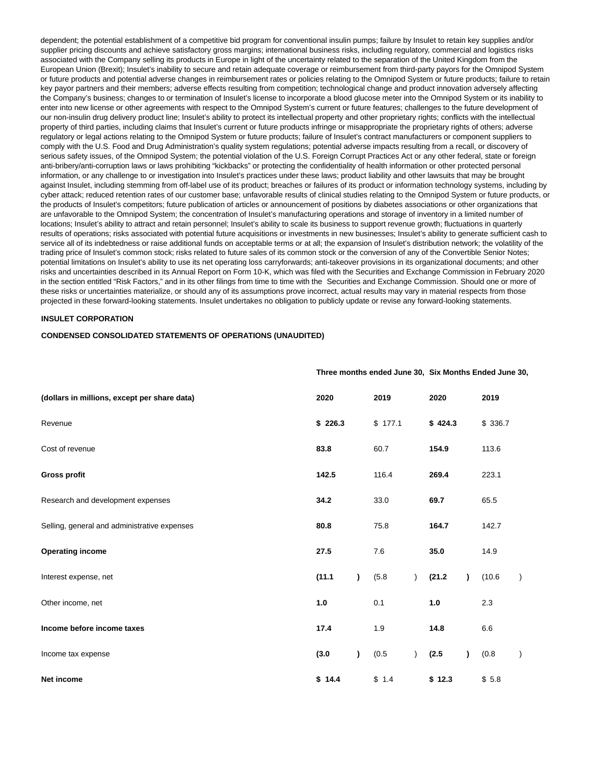dependent; the potential establishment of a competitive bid program for conventional insulin pumps; failure by Insulet to retain key supplies and/or supplier pricing discounts and achieve satisfactory gross margins; international business risks, including regulatory, commercial and logistics risks associated with the Company selling its products in Europe in light of the uncertainty related to the separation of the United Kingdom from the European Union (Brexit); Insulet's inability to secure and retain adequate coverage or reimbursement from third-party payors for the Omnipod System or future products and potential adverse changes in reimbursement rates or policies relating to the Omnipod System or future products; failure to retain key payor partners and their members; adverse effects resulting from competition; technological change and product innovation adversely affecting the Company's business; changes to or termination of Insulet's license to incorporate a blood glucose meter into the Omnipod System or its inability to enter into new license or other agreements with respect to the Omnipod System's current or future features; challenges to the future development of our non-insulin drug delivery product line; Insulet's ability to protect its intellectual property and other proprietary rights; conflicts with the intellectual property of third parties, including claims that Insulet's current or future products infringe or misappropriate the proprietary rights of others; adverse regulatory or legal actions relating to the Omnipod System or future products; failure of Insulet's contract manufacturers or component suppliers to comply with the U.S. Food and Drug Administration's quality system regulations; potential adverse impacts resulting from a recall, or discovery of serious safety issues, of the Omnipod System; the potential violation of the U.S. Foreign Corrupt Practices Act or any other federal, state or foreign anti-bribery/anti-corruption laws or laws prohibiting "kickbacks" or protecting the confidentiality of health information or other protected personal information, or any challenge to or investigation into Insulet's practices under these laws; product liability and other lawsuits that may be brought against Insulet, including stemming from off-label use of its product; breaches or failures of its product or information technology systems, including by cyber attack; reduced retention rates of our customer base; unfavorable results of clinical studies relating to the Omnipod System or future products, or the products of Insulet's competitors; future publication of articles or announcement of positions by diabetes associations or other organizations that are unfavorable to the Omnipod System; the concentration of Insulet's manufacturing operations and storage of inventory in a limited number of locations; Insulet's ability to attract and retain personnel; Insulet's ability to scale its business to support revenue growth; fluctuations in quarterly results of operations; risks associated with potential future acquisitions or investments in new businesses; Insulet's ability to generate sufficient cash to service all of its indebtedness or raise additional funds on acceptable terms or at all; the expansion of Insulet's distribution network; the volatility of the trading price of Insulet's common stock; risks related to future sales of its common stock or the conversion of any of the Convertible Senior Notes; potential limitations on Insulet's ability to use its net operating loss carryforwards; anti-takeover provisions in its organizational documents; and other risks and uncertainties described in its Annual Report on Form 10-K, which was filed with the Securities and Exchange Commission in February 2020 in the section entitled "Risk Factors," and in its other filings from time to time with the Securities and Exchange Commission. Should one or more of these risks or uncertainties materialize, or should any of its assumptions prove incorrect, actual results may vary in material respects from those projected in these forward-looking statements. Insulet undertakes no obligation to publicly update or revise any forward-looking statements.

#### **INSULET CORPORATION**

#### **CONDENSED CONSOLIDATED STATEMENTS OF OPERATIONS (UNAUDITED)**

| (dollars in millions, except per share data) | 2020    |           | 2019    | 2020    |           | 2019    |  |
|----------------------------------------------|---------|-----------|---------|---------|-----------|---------|--|
| Revenue                                      | \$226.3 |           | \$177.1 | \$424.3 |           | \$336.7 |  |
| Cost of revenue                              | 83.8    |           | 60.7    | 154.9   |           | 113.6   |  |
| <b>Gross profit</b>                          | 142.5   |           | 116.4   | 269.4   |           | 223.1   |  |
| Research and development expenses            | 34.2    |           | 33.0    | 69.7    |           | 65.5    |  |
| Selling, general and administrative expenses | 80.8    |           | 75.8    | 164.7   |           | 142.7   |  |
| <b>Operating income</b>                      | 27.5    |           | 7.6     | 35.0    |           | 14.9    |  |
| Interest expense, net                        | (11.1)  | $\lambda$ | (5.8)   | (21.2)  |           | (10.6)  |  |
| Other income, net                            | $1.0\,$ |           | 0.1     | $1.0$   |           | $2.3\,$ |  |
| Income before income taxes                   | 17.4    |           | 1.9     | 14.8    |           | 6.6     |  |
| Income tax expense                           | (3.0)   | $\lambda$ | (0.5)   | (2.5)   | $\lambda$ | (0.8)   |  |
| <b>Net income</b>                            | \$14.4  |           | \$1.4   | \$12.3  |           | \$5.8   |  |

#### **Three months ended June 30, Six Months Ended June 30,**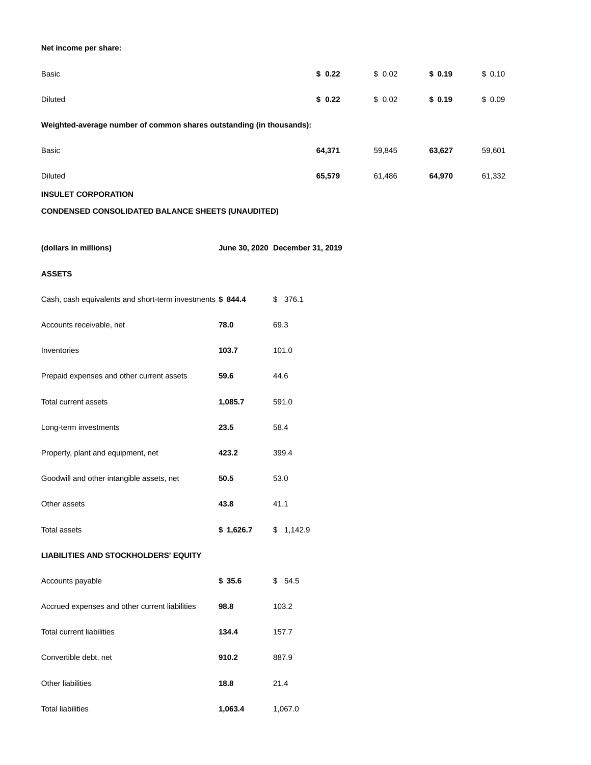# **Net income per share:**

| Basic          | \$0.22 | \$0.02 | \$ 0.19 | \$0.10 |
|----------------|--------|--------|---------|--------|
| <b>Diluted</b> | \$0.22 | \$0.02 | \$ 0.19 | \$0.09 |

# **Weighted-average number of common shares outstanding (in thousands):**

| Basic   | 64,371 | 59,845 | 63,627 | 59,601 |
|---------|--------|--------|--------|--------|
| Diluted | 65.579 | 61,486 | 64,970 | 61,332 |

# **INSULET CORPORATION**

# **CONDENSED CONSOLIDATED BALANCE SHEETS (UNAUDITED)**

**(dollars in millions) June 30, 2020 December 31, 2019**

# **ASSETS**

| Cash, cash equivalents and short-term investments \$ 844.4 |           | \$<br>376.1   |
|------------------------------------------------------------|-----------|---------------|
| Accounts receivable, net                                   | 78.0      | 69.3          |
| Inventories                                                | 103.7     | 101.0         |
| Prepaid expenses and other current assets                  | 59.6      | 44.6          |
| Total current assets                                       | 1,085.7   | 591.0         |
| Long-term investments                                      | 23.5      | 58.4          |
| Property, plant and equipment, net                         | 423.2     | 399.4         |
| Goodwill and other intangible assets, net                  | 50.5      | 53.0          |
| Other assets                                               | 43.8      | 41.1          |
| <b>Total assets</b>                                        | \$1,626.7 | 1,142.9<br>\$ |
| <b>LIABILITIES AND STOCKHOLDERS' EQUITY</b>                |           |               |
| Accounts payable                                           | \$35.6    | \$54.5        |
| Accrued expenses and other current liabilities             | 98.8      | 103.2         |
| <b>Total current liabilities</b>                           | 134.4     | 157.7         |
| Convertible debt, net                                      | 910.2     | 887.9         |
| <b>Other liabilities</b>                                   | 18.8      | 21.4          |
| <b>Total liabilities</b>                                   | 1,063.4   | 1,067.0       |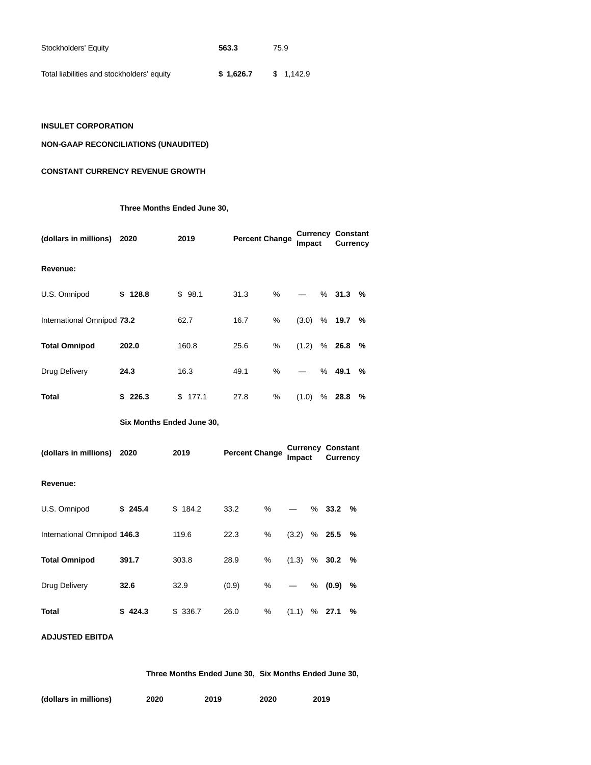| Stockholders' Equity                       | 563.3     | 75.9      |
|--------------------------------------------|-----------|-----------|
| Total liabilities and stockholders' equity | \$1.626.7 | \$1,142.9 |

# **INSULET CORPORATION**

# **NON-GAAP RECONCILIATIONS (UNAUDITED)**

# **CONSTANT CURRENCY REVENUE GROWTH**

**Three Months Ended June 30,**

| (dollars in millions)       | 2020                      | 2019    | <b>Percent Change</b> |      | Impact                             |      | <b>Currency Constant</b><br>Currency |               |
|-----------------------------|---------------------------|---------|-----------------------|------|------------------------------------|------|--------------------------------------|---------------|
| Revenue:                    |                           |         |                       |      |                                    |      |                                      |               |
| U.S. Omnipod                | \$128.8                   | \$98.1  | 31.3                  | %    |                                    | $\%$ | 31.3                                 | $\frac{9}{6}$ |
| International Omnipod 73.2  |                           | 62.7    | 16.7                  | %    | (3.0)                              | %    | 19.7                                 | %             |
| <b>Total Omnipod</b>        | 202.0                     | 160.8   | 25.6                  | %    | (1.2)                              | %    | 26.8                                 | %             |
| Drug Delivery               | 24.3                      | 16.3    | 49.1                  | %    |                                    | %    | 49.1                                 | %             |
| <b>Total</b>                | \$226.3                   | \$177.1 | 27.8                  | %    |                                    | %    | 28.8                                 | %             |
|                             | Six Months Ended June 30, |         |                       |      |                                    |      |                                      |               |
| (dollars in millions)       | 2020                      | 2019    | <b>Percent Change</b> |      | <b>Currency Constant</b><br>Impact |      | <b>Currency</b>                      |               |
| Revenue:                    |                           |         |                       |      |                                    |      |                                      |               |
| U.S. Omnipod                | \$245.4                   | \$184.2 | 33.2                  | %    | %                                  |      | 33.2                                 | %             |
| International Omnipod 146.3 |                           | 119.6   | 22.3                  | %    | (3.2)<br>%                         |      | 25.5                                 | %             |
| <b>Total Omnipod</b>        | 391.7                     | 303.8   | 28.9                  | %    | (1.3)<br>$\%$                      |      | 30.2                                 | %             |
| Drug Delivery               | 32.6                      | 32.9    | (0.9)                 | $\%$ | %                                  |      | (0.9)                                | %             |
| Total                       | \$424.3                   | \$336.7 | 26.0                  | ℅    | (1.1)<br>%                         |      | 27.1                                 | %             |
| <b>ADJUSTED EBITDA</b>      |                           |         |                       |      |                                    |      |                                      |               |

**Three Months Ended June 30, Six Months Ended June 30,**

| (dollars in millions) |
|-----------------------|
|-----------------------|

**(dollars in millions) 2020 2019 2020 2019**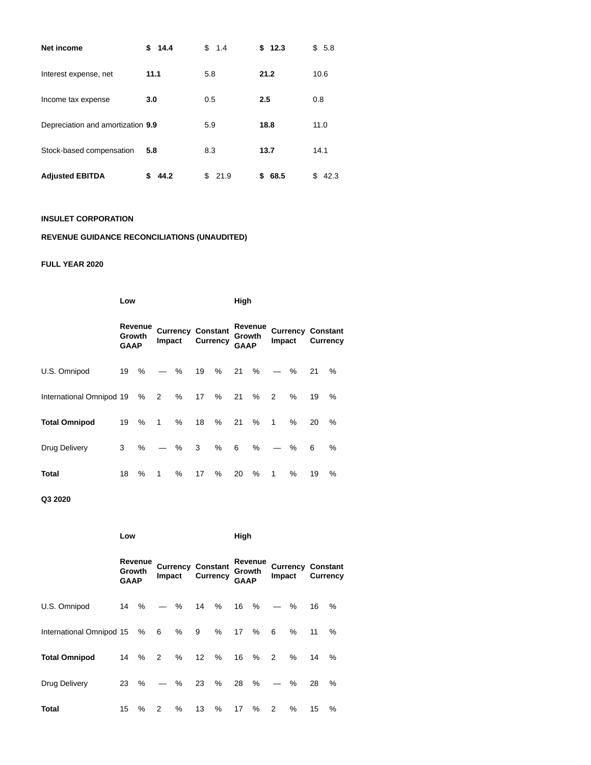| Net income                        | \$14.4    | \$1.4      | \$12.3     | \$5.8      |
|-----------------------------------|-----------|------------|------------|------------|
| Interest expense, net             | 11.1      | 5.8        | 21.2       | 10.6       |
| Income tax expense                | 3.0       | 0.5        | 2.5        | 0.8        |
| Depreciation and amortization 9.9 |           | 5.9        | 18.8       | 11.0       |
| Stock-based compensation          | 5.8       | 8.3        | 13.7       | 14.1       |
| <b>Adjusted EBITDA</b>            | 44.2<br>S | \$<br>21.9 | 68.5<br>\$ | \$<br>42.3 |

# **INSULET CORPORATION**

# **REVENUE GUIDANCE RECONCILIATIONS (UNAUDITED)**

# **FULL YEAR 2020**

|                          | Low                              |      |                |                          |                 |      | High                             |      |        |                          |                 |      |
|--------------------------|----------------------------------|------|----------------|--------------------------|-----------------|------|----------------------------------|------|--------|--------------------------|-----------------|------|
|                          | Revenue<br>Growth<br><b>GAAP</b> |      | Impact         | <b>Currency Constant</b> | <b>Currency</b> |      | Revenue<br>Growth<br><b>GAAP</b> |      | Impact | <b>Currency Constant</b> | <b>Currency</b> |      |
| U.S. Omnipod             | 19                               | %    |                | %                        | 19              | %    | 21                               | %    |        | %                        | 21              | $\%$ |
| International Omnipod 19 |                                  | %    | $\overline{2}$ | %                        | 17              | %    | 21                               | %    | 2      | %                        | 19              | %    |
| <b>Total Omnipod</b>     | 19                               | %    | $\mathbf{1}$   | %                        | 18              | %    | 21                               | %    | 1      | %                        | 20              | $\%$ |
| Drug Delivery            | 3                                | %    |                | $\%$                     | 3               | $\%$ | 6                                | $\%$ |        | %                        | 6               | %    |
| Total                    | 18                               | $\%$ | 1              | ℅                        | 17              | %    | 20                               | $\%$ | 1      | ℅                        | 19              | ℅    |

# **Q3 2020**

**Low High Revenue Revenue Currency Constant Revenue**<br>Growth Inneet Currency Growth **GAAP Impact Currency GAAP Growth Currency Constant Impact Currency** U.S. Omnipod 14 % — % 14 % 16 % — % 16 % International Omnipod 15 % 6 % 9 % 17 % 6 % 11 % **Total Omnipod** 14 % 2 % 12 % 16 % 2 % 14 % Drug Delivery 23 % — % 23 % 28 % — % 28 % **Total** 15 % 2 % 13 % 17 % 2 % 15 %